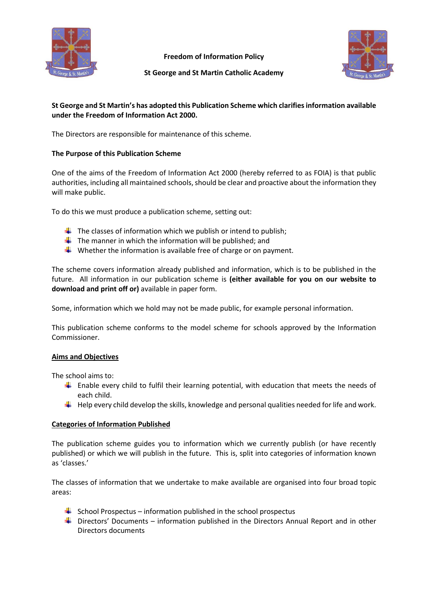

**Freedom of Information Policy**



## **St George and St Martin Catholic Academy**

# **St George and St Martin's has adopted this Publication Scheme which clarifies information available under the Freedom of Information Act 2000.**

The Directors are responsible for maintenance of this scheme.

## **The Purpose of this Publication Scheme**

One of the aims of the Freedom of Information Act 2000 (hereby referred to as FOIA) is that public authorities, including all maintained schools, should be clear and proactive about the information they will make public.

To do this we must produce a publication scheme, setting out:

- $\ddot{+}$  The classes of information which we publish or intend to publish;
- $\ddot{\phantom{1}}$  The manner in which the information will be published; and
- $\downarrow$  Whether the information is available free of charge or on payment.

The scheme covers information already published and information, which is to be published in the future. All information in our publication scheme is **(either available for you on our website to download and print off or)** available in paper form.

Some, information which we hold may not be made public, for example personal information.

This publication scheme conforms to the model scheme for schools approved by the Information Commissioner.

### **Aims and Objectives**

The school aims to:

- $\ddot{\phantom{1}}$  Enable every child to fulfil their learning potential, with education that meets the needs of each child.
- $\ddot{\phantom{1}}$  Help every child develop the skills, knowledge and personal qualities needed for life and work.

### **Categories of Information Published**

The publication scheme guides you to information which we currently publish (or have recently published) or which we will publish in the future. This is, split into categories of information known as 'classes.'

The classes of information that we undertake to make available are organised into four broad topic areas:

- $\frac{1}{2}$  School Prospectus information published in the school prospectus
- $\ddot{\phantom{1}}$  Directors' Documents information published in the Directors Annual Report and in other Directors documents